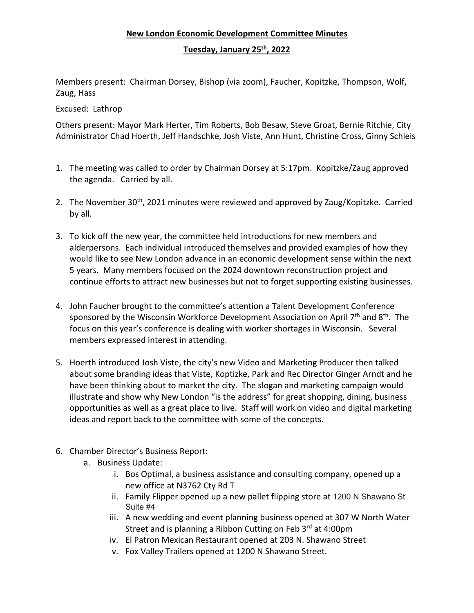## **New London Economic Development Committee Minutes**

## **Tuesday, January 25th, 2022**

Members present: Chairman Dorsey, Bishop (via zoom), Faucher, Kopitzke, Thompson, Wolf, Zaug, Hass

Excused: Lathrop

Others present: Mayor Mark Herter, Tim Roberts, Bob Besaw, Steve Groat, Bernie Ritchie, City Administrator Chad Hoerth, Jeff Handschke, Josh Viste, Ann Hunt, Christine Cross, Ginny Schleis

- 1. The meeting was called to order by Chairman Dorsey at 5:17pm. Kopitzke/Zaug approved the agenda. Carried by all.
- 2. The November 30<sup>th</sup>, 2021 minutes were reviewed and approved by Zaug/Kopitzke. Carried by all.
- 3. To kick off the new year, the committee held introductions for new members and alderpersons. Each individual introduced themselves and provided examples of how they would like to see New London advance in an economic development sense within the next 5 years. Many members focused on the 2024 downtown reconstruction project and continue efforts to attract new businesses but not to forget supporting existing businesses.
- 4. John Faucher brought to the committee's attention a Talent Development Conference sponsored by the Wisconsin Workforce Development Association on April  $7<sup>th</sup>$  and  $8<sup>th</sup>$ . The focus on this year's conference is dealing with worker shortages in Wisconsin. Several members expressed interest in attending.
- 5. Hoerth introduced Josh Viste, the city's new Video and Marketing Producer then talked about some branding ideas that Viste, Koptizke, Park and Rec Director Ginger Arndt and he have been thinking about to market the city. The slogan and marketing campaign would illustrate and show why New London "is the address" for great shopping, dining, business opportunities as well as a great place to live. Staff will work on video and digital marketing ideas and report back to the committee with some of the concepts.
- 6. Chamber Director's Business Report:
	- a. Business Update:
		- i. Bos Optimal, a business assistance and consulting company, opened up a new office at N3762 Cty Rd T
		- ii. Family Flipper opened up a new pallet flipping store at 1200 N Shawano St Suite #4
		- iii. A new wedding and event planning business opened at 307 W North Water Street and is planning a Ribbon Cutting on Feb 3<sup>rd</sup> at 4:00pm
		- iv. El Patron Mexican Restaurant opened at 203 N. Shawano Street
		- v. Fox Valley Trailers opened at 1200 N Shawano Street.